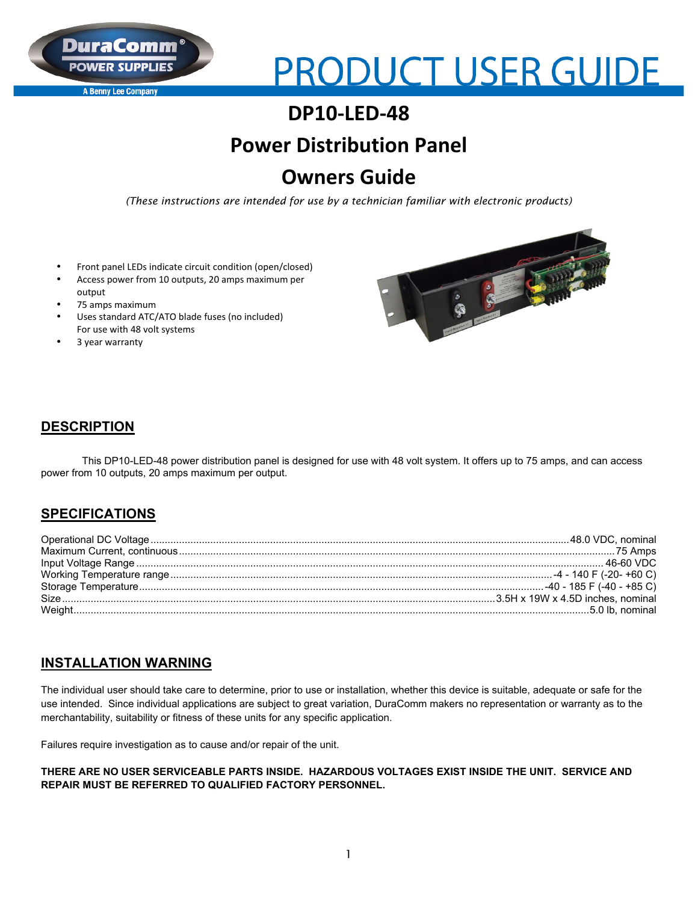

**A Benny Lee Company** 

# **PRODUCT USER GUIDE**

## **DP10-LED-48**

## **Power Distribution Panel**

## **Owners Guide**

*(These instructions are intended for use by a technician familiar with electronic products)*

- Front panel LEDs indicate circuit condition (open/closed)
- Access power from 10 outputs, 20 amps maximum per output
- 75 amps maximum
- Uses standard ATC/ATO blade fuses (no included) For use with 48 volt systems
- 3 year warranty



#### **DESCRIPTION**

This DP10-LED-48 power distribution panel is designed for use with 48 volt system. It offers up to 75 amps, and can access power from 10 outputs, 20 amps maximum per output.

#### **SPECIFICATIONS**

### **INSTALLATION WARNING**

The individual user should take care to determine, prior to use or installation, whether this device is suitable, adequate or safe for the use intended. Since individual applications are subject to great variation, DuraComm makers no representation or warranty as to the merchantability, suitability or fitness of these units for any specific application.

Failures require investigation as to cause and/or repair of the unit.

#### **THERE ARE NO USER SERVICEABLE PARTS INSIDE. HAZARDOUS VOLTAGES EXIST INSIDE THE UNIT. SERVICE AND REPAIR MUST BE REFERRED TO QUALIFIED FACTORY PERSONNEL.**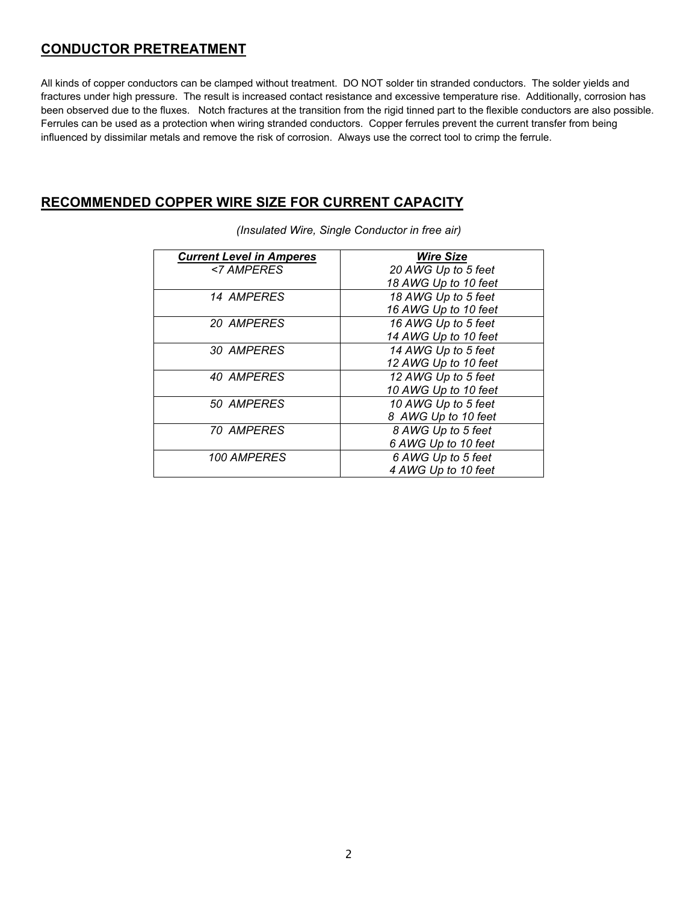### **CONDUCTOR PRETREATMENT**

All kinds of copper conductors can be clamped without treatment. DO NOT solder tin stranded conductors. The solder yields and fractures under high pressure. The result is increased contact resistance and excessive temperature rise. Additionally, corrosion has been observed due to the fluxes. Notch fractures at the transition from the rigid tinned part to the flexible conductors are also possible. Ferrules can be used as a protection when wiring stranded conductors. Copper ferrules prevent the current transfer from being influenced by dissimilar metals and remove the risk of corrosion. Always use the correct tool to crimp the ferrule.

#### **RECOMMENDED COPPER WIRE SIZE FOR CURRENT CAPACITY**

| <b>Current Level in Amperes</b> | <b>Wire Size</b>     |
|---------------------------------|----------------------|
| <7 AMPERES                      | 20 AWG Up to 5 feet  |
|                                 | 18 AWG Up to 10 feet |
| 14 AMPERES                      | 18 AWG Up to 5 feet  |
|                                 | 16 AWG Up to 10 feet |
| 20 AMPERES                      | 16 AWG Up to 5 feet  |
|                                 | 14 AWG Up to 10 feet |
| 30 AMPERES                      | 14 AWG Up to 5 feet  |
|                                 | 12 AWG Up to 10 feet |
| 40 AMPERES                      | 12 AWG Up to 5 feet  |
|                                 | 10 AWG Up to 10 feet |
| 50 AMPERES                      | 10 AWG Up to 5 feet  |
|                                 | 8 AWG Up to 10 feet  |
| <i><b>70 AMPERES</b></i>        | 8 AWG Up to 5 feet   |
|                                 | 6 AWG Up to 10 feet  |
| 100 AMPERES                     | 6 AWG Up to 5 feet   |
|                                 | 4 AWG Up to 10 feet  |

*(Insulated Wire, Single Conductor in free air)*